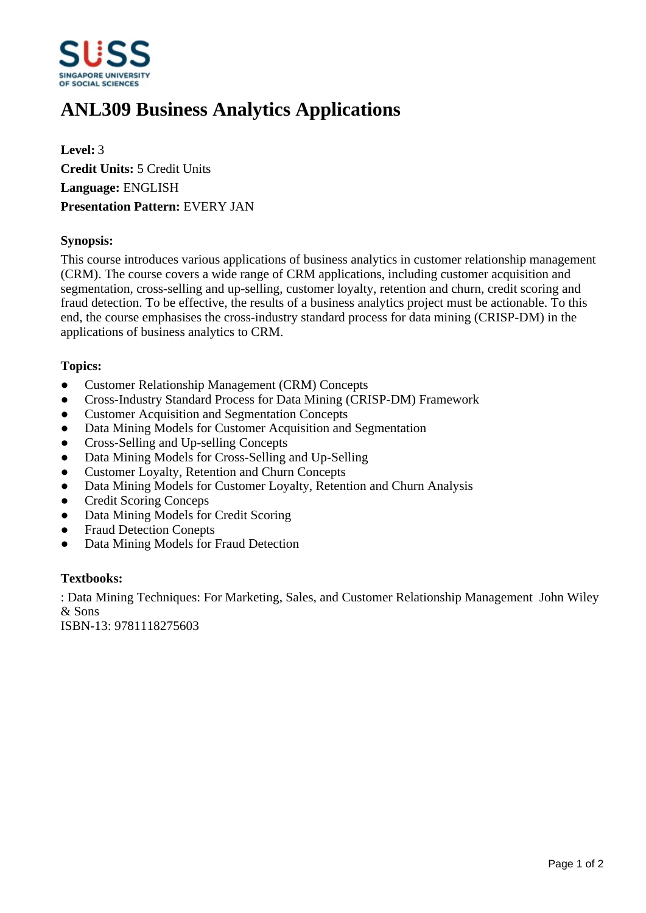

# **ANL309 Business Analytics Applications**

**Level:** 3 **Credit Units:** 5 Credit Units **Language:** ENGLISH **Presentation Pattern:** EVERY JAN

## **Synopsis:**

This course introduces various applications of business analytics in customer relationship management (CRM). The course covers a wide range of CRM applications, including customer acquisition and segmentation, cross-selling and up-selling, customer loyalty, retention and churn, credit scoring and fraud detection. To be effective, the results of a business analytics project must be actionable. To this end, the course emphasises the cross-industry standard process for data mining (CRISP-DM) in the applications of business analytics to CRM.

## **Topics:**

- Customer Relationship Management (CRM) Concepts
- Cross-Industry Standard Process for Data Mining (CRISP-DM) Framework
- Customer Acquisition and Segmentation Concepts
- Data Mining Models for Customer Acquisition and Segmentation
- ƔCross-Selling and Up-selling Concepts
- Data Mining Models for Cross-Selling and Up-Selling
- Customer Loyalty, Retention and Churn Concepts
- Data Mining Models for Customer Loyalty, Retention and Churn Analysis
- ƔCredit Scoring Conceps
- Data Mining Models for Credit Scoring
- Fraud Detection Conepts
- Data Mining Models for Fraud Detection

#### **Textbooks:**

: Data Mining Techniques: For Marketing, Sales, and Customer Relationship Management John Wiley & Sons

ISBN-13: 9781118275603